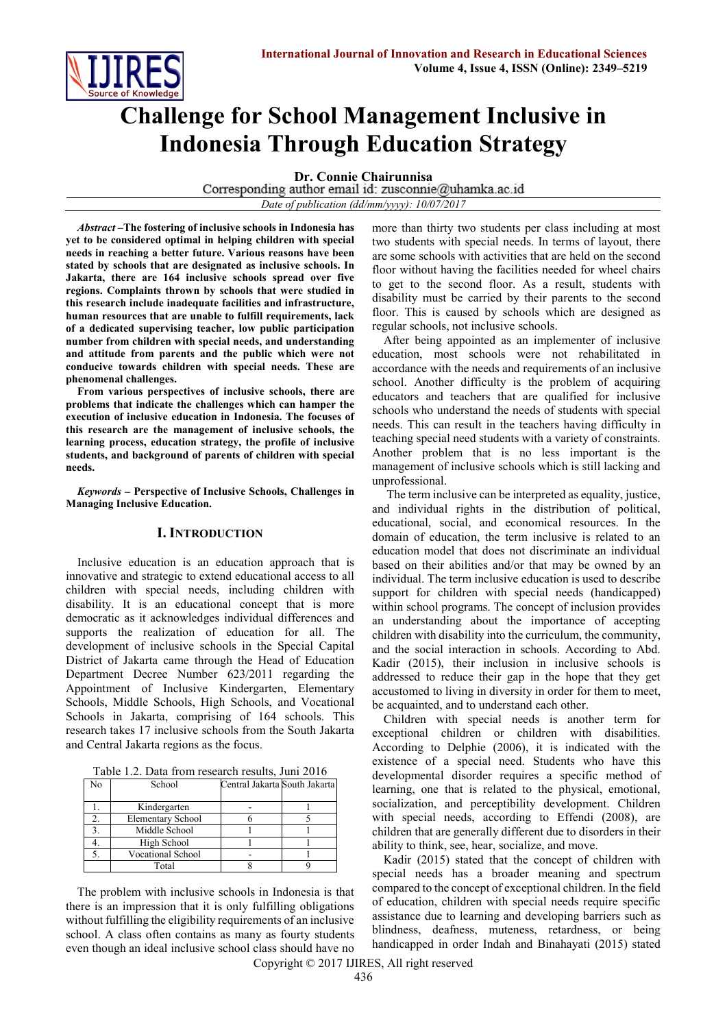# **Challenge for School Management Inclusive in Indonesia Through Education Strategy**

**Dr. Connie Chairunnisa**<br>Corresponding author email id: zusconnie@uhamka.ac.id

*Date of publication (dd/mm/yyyy): 10/07/2017*

*Abstract* **–The fostering of inclusive schools in Indonesia has yet to be considered optimal in helping children with special needs in reaching a better future. Various reasons have been stated by schools that are designated as inclusive schools. In Jakarta, there are 164 inclusive schools spread over five regions. Complaints thrown by schools that were studied in this research include inadequate facilities and infrastructure, human resources that are unable to fulfill requirements, lack of a dedicated supervising teacher, low public participation number from children with special needs, and understanding and attitude from parents and the public which were not conducive towards children with special needs. These are phenomenal challenges.**

**From various perspectives of inclusive schools, there are problems that indicate the challenges which can hamper the execution of inclusive education in Indonesia. The focuses of this research are the management of inclusive schools, the learning process, education strategy, the profile of inclusive students, and background of parents of children with special needs.**

*Keywords* **– Perspective of Inclusive Schools, Challenges in Managing Inclusive Education.**

## **I. INTRODUCTION**

Inclusive education is an education approach that is innovative and strategic to extend educational access to all children with special needs, including children with disability. It is an educational concept that is more democratic as it acknowledges individual differences and supports the realization of education for all. The development of inclusive schools in the Special Capital District of Jakarta came through the Head of Education Department Decree Number 623/2011 regarding the Appointment of Inclusive Kindergarten, Elementary Schools, Middle Schools, High Schools, and Vocational Schools in Jakarta, comprising of 164 schools. This research takes 17 inclusive schools from the South Jakarta and Central Jakarta regions as the focus.

| Table 1.2. Data from research results, Juni 2016 |  |
|--------------------------------------------------|--|
|--------------------------------------------------|--|

| No | School                   | Central Jakarta South Jakarta |  |
|----|--------------------------|-------------------------------|--|
|    | Kindergarten             |                               |  |
|    | <b>Elementary School</b> |                               |  |
|    | Middle School            |                               |  |
|    | High School              |                               |  |
|    | <b>Vocational School</b> |                               |  |
|    | Total                    |                               |  |

The problem with inclusive schools in Indonesia is that there is an impression that it is only fulfilling obligations without fulfilling the eligibility requirements of an inclusive school. A class often contains as many as fourty students even though an ideal inclusive school class should have no

more than thirty two students per class including at most two students with special needs. In terms of layout, there are some schools with activities that are held on the second floor without having the facilities needed for wheel chairs to get to the second floor. As a result, students with disability must be carried by their parents to the second floor. This is caused by schools which are designed as regular schools, not inclusive schools.

After being appointed as an implementer of inclusive education, most schools were not rehabilitated in accordance with the needs and requirements of an inclusive school. Another difficulty is the problem of acquiring educators and teachers that are qualified for inclusive schools who understand the needs of students with special needs. This can result in the teachers having difficulty in teaching special need students with a variety of constraints. Another problem that is no less important is the management of inclusive schools which is still lacking and unprofessional.

The term inclusive can be interpreted as equality, justice, and individual rights in the distribution of political, educational, social, and economical resources. In the domain of education, the term inclusive is related to an education model that does not discriminate an individual based on their abilities and/or that may be owned by an individual. The term inclusive education is used to describe support for children with special needs (handicapped) within school programs. The concept of inclusion provides an understanding about the importance of accepting children with disability into the curriculum, the community, and the social interaction in schools. According to Abd. Kadir (2015), their inclusion in inclusive schools is addressed to reduce their gap in the hope that they get accustomed to living in diversity in order for them to meet, be acquainted, and to understand each other.

Children with special needs is another term for exceptional children or children with disabilities. According to Delphie (2006), it is indicated with the existence of a special need. Students who have this developmental disorder requires a specific method of learning, one that is related to the physical, emotional, socialization, and perceptibility development. Children with special needs, according to Effendi (2008), are children that are generally different due to disorders in their ability to think, see, hear, socialize, and move.

Kadir (2015) stated that the concept of children with special needs has a broader meaning and spectrum compared to the concept of exceptional children. In the field of education, children with special needs require specific assistance due to learning and developing barriers such as blindness, deafness, muteness, retardness, or being handicapped in order Indah and Binahayati (2015) stated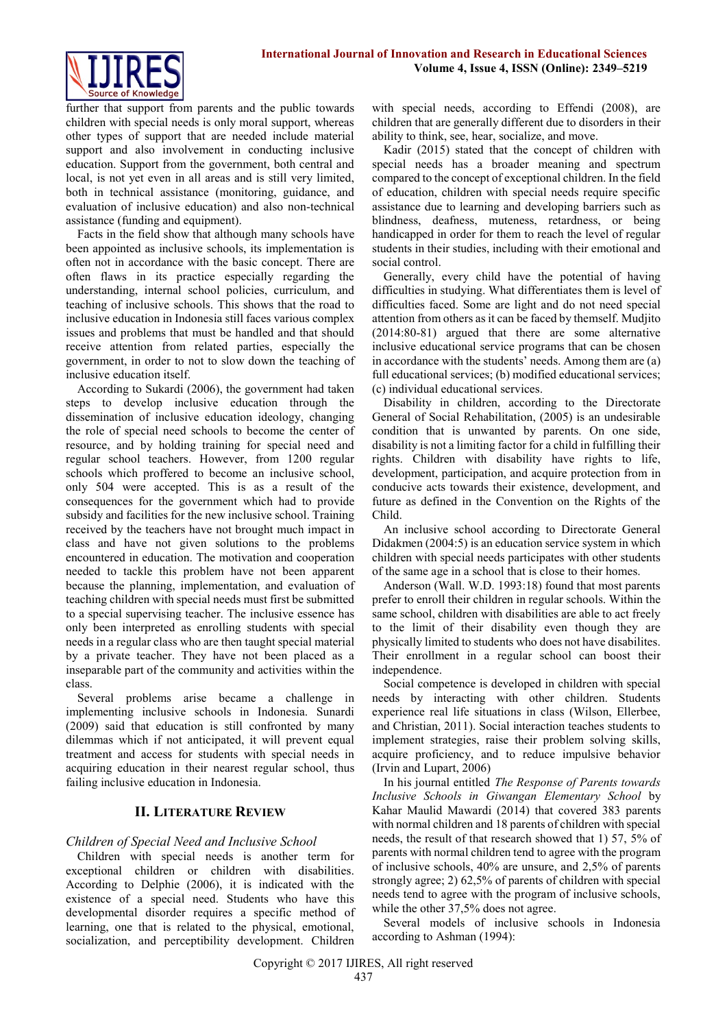

further that support from parents and the public towards children with special needs is only moral support, whereas other types of support that are needed include material support and also involvement in conducting inclusive education. Support from the government, both central and local, is not yet even in all areas and is still very limited, both in technical assistance (monitoring, guidance, and evaluation of inclusive education) and also non-technical assistance (funding and equipment).

Facts in the field show that although many schools have been appointed as inclusive schools, its implementation is often not in accordance with the basic concept. There are often flaws in its practice especially regarding the understanding, internal school policies, curriculum, and teaching of inclusive schools. This shows that the road to inclusive education in Indonesia still faces various complex issues and problems that must be handled and that should receive attention from related parties, especially the government, in order to not to slow down the teaching of inclusive education itself.

According to Sukardi (2006), the government had taken steps to develop inclusive education through the dissemination of inclusive education ideology, changing the role of special need schools to become the center of resource, and by holding training for special need and regular school teachers. However, from 1200 regular schools which proffered to become an inclusive school, only 504 were accepted. This is as a result of the consequences for the government which had to provide subsidy and facilities for the new inclusive school. Training received by the teachers have not brought much impact in class and have not given solutions to the problems encountered in education. The motivation and cooperation needed to tackle this problem have not been apparent because the planning, implementation, and evaluation of teaching children with special needs must first be submitted to a special supervising teacher. The inclusive essence has only been interpreted as enrolling students with special needs in a regular class who are then taught special material by a private teacher. They have not been placed as a inseparable part of the community and activities within the class.

Several problems arise became a challenge in implementing inclusive schools in Indonesia. Sunardi (2009) said that education is still confronted by many dilemmas which if not anticipated, it will prevent equal treatment and access for students with special needs in acquiring education in their nearest regular school, thus failing inclusive education in Indonesia.

## **II. LITERATURE REVIEW**

## *Children of Special Need and Inclusive School*

Children with special needs is another term for exceptional children or children with disabilities. According to Delphie (2006), it is indicated with the existence of a special need. Students who have this developmental disorder requires a specific method of learning, one that is related to the physical, emotional, socialization, and perceptibility development. Children with special needs, according to Effendi (2008), are children that are generally different due to disorders in their ability to think, see, hear, socialize, and move.

Kadir (2015) stated that the concept of children with special needs has a broader meaning and spectrum compared to the concept of exceptional children. In the field of education, children with special needs require specific assistance due to learning and developing barriers such as blindness, deafness, muteness, retardness, or being handicapped in order for them to reach the level of regular students in their studies, including with their emotional and social control.

Generally, every child have the potential of having difficulties in studying. What differentiates them is level of difficulties faced. Some are light and do not need special attention from others as it can be faced by themself. Mudjito (2014:80-81) argued that there are some alternative inclusive educational service programs that can be chosen in accordance with the students' needs. Among them are (a) full educational services; (b) modified educational services; (c) individual educational services.

Disability in children, according to the Directorate General of Social Rehabilitation, (2005) is an undesirable condition that is unwanted by parents. On one side, disability is not a limiting factor for a child in fulfilling their rights. Children with disability have rights to life, development, participation, and acquire protection from in conducive acts towards their existence, development, and future as defined in the Convention on the Rights of the Child.

An inclusive school according to Directorate General Didakmen (2004:5) is an education service system in which children with special needs participates with other students of the same age in a school that is close to their homes.

Anderson (Wall. W.D. 1993:18) found that most parents prefer to enroll their children in regular schools. Within the same school, children with disabilities are able to act freely to the limit of their disability even though they are physically limited to students who does not have disabilites. Their enrollment in a regular school can boost their independence.

Social competence is developed in children with special needs by interacting with other children. Students experience real life situations in class (Wilson, Ellerbee, and Christian, 2011). Social interaction teaches students to implement strategies, raise their problem solving skills, acquire proficiency, and to reduce impulsive behavior (Irvin and Lupart, 2006)

In his journal entitled *The Response of Parents towards Inclusive Schools in Giwangan Elementary School* by Kahar Maulid Mawardi (2014) that covered 383 parents with normal children and 18 parents of children with special needs, the result of that research showed that 1) 57, 5% of parents with normal children tend to agree with the program of inclusive schools, 40% are unsure, and 2,5% of parents strongly agree; 2) 62,5% of parents of children with special needs tend to agree with the program of inclusive schools, while the other 37,5% does not agree.

Several models of inclusive schools in Indonesia according to Ashman (1994):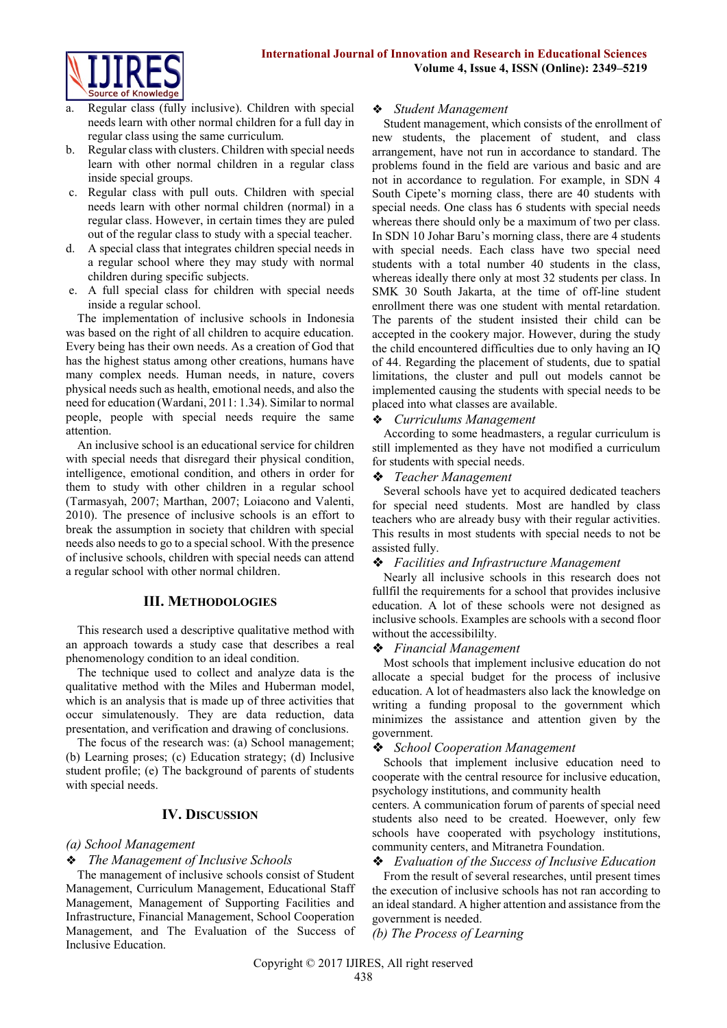

- Regular class (fully inclusive). Children with special needs learn with other normal children for a full day in regular class using the same curriculum.
- b. Regular class with clusters. Children with special needs learn with other normal children in a regular class inside special groups.
- c. Regular class with pull outs. Children with special needs learn with other normal children (normal) in a regular class. However, in certain times they are puled out of the regular class to study with a special teacher.
- d. A special class that integrates children special needs in a regular school where they may study with normal children during specific subjects.
- e. A full special class for children with special needs inside a regular school.

The implementation of inclusive schools in Indonesia was based on the right of all children to acquire education. Every being has their own needs. As a creation of God that has the highest status among other creations, humans have many complex needs. Human needs, in nature, covers physical needs such as health, emotional needs, and also the need for education (Wardani, 2011: 1.34). Similar to normal people, people with special needs require the same attention.

An inclusive school is an educational service for children with special needs that disregard their physical condition, intelligence, emotional condition, and others in order for them to study with other children in a regular school (Tarmasyah, 2007; Marthan, 2007; Loiacono and Valenti, 2010). The presence of inclusive schools is an effort to break the assumption in society that children with special needs also needs to go to a special school. With the presence of inclusive schools, children with special needs can attend a regular school with other normal children.

## **III. METHODOLOGIES**

This research used a descriptive qualitative method with an approach towards a study case that describes a real phenomenology condition to an ideal condition.

The technique used to collect and analyze data is the qualitative method with the Miles and Huberman model, which is an analysis that is made up of three activities that occur simulatenously. They are data reduction, data presentation, and verification and drawing of conclusions.

The focus of the research was: (a) School management; (b) Learning proses; (c) Education strategy; (d) Inclusive student profile; (e) The background of parents of students with special needs.

## **IV. DISCUSSION**

## *(a) School Management*

## ❖ *The Management of Inclusive Schools*

The management of inclusive schools consist of Student Management, Curriculum Management, Educational Staff Management, Management of Supporting Facilities and Infrastructure, Financial Management, School Cooperation Management, and The Evaluation of the Success of Inclusive Education.

#### ❖ *Student Management*

Student management, which consists of the enrollment of new students, the placement of student, and class arrangement, have not run in accordance to standard. The problems found in the field are various and basic and are not in accordance to regulation. For example, in SDN 4 South Cipete's morning class, there are 40 students with special needs. One class has 6 students with special needs whereas there should only be a maximum of two per class. In SDN 10 Johar Baru's morning class, there are 4 students with special needs. Each class have two special need students with a total number 40 students in the class, whereas ideally there only at most 32 students per class. In SMK 30 South Jakarta, at the time of off-line student enrollment there was one student with mental retardation. The parents of the student insisted their child can be accepted in the cookery major. However, during the study the child encountered difficulties due to only having an IQ of 44. Regarding the placement of students, due to spatial limitations, the cluster and pull out models cannot be implemented causing the students with special needs to be placed into what classes are available.

## ❖ *Curriculums Management*

According to some headmasters, a regular curriculum is still implemented as they have not modified a curriculum for students with special needs.

## ❖ *Teacher Management*

Several schools have yet to acquired dedicated teachers for special need students. Most are handled by class teachers who are already busy with their regular activities. This results in most students with special needs to not be assisted fully.

#### ❖ *Facilities and Infrastructure Management*

Nearly all inclusive schools in this research does not fullfil the requirements for a school that provides inclusive education. A lot of these schools were not designed as inclusive schools. Examples are schools with a second floor without the accessibililty.

#### ❖ *Financial Management*

Most schools that implement inclusive education do not allocate a special budget for the process of inclusive education. A lot of headmasters also lack the knowledge on writing a funding proposal to the government which minimizes the assistance and attention given by the government.

## ❖ *School Cooperation Management*

Schools that implement inclusive education need to cooperate with the central resource for inclusive education, psychology institutions, and community health

centers. A communication forum of parents of special need students also need to be created. Hoewever, only few schools have cooperated with psychology institutions, community centers, and Mitranetra Foundation.

#### ❖ *Evaluation of the Success of Inclusive Education*

From the result of several researches, until present times the execution of inclusive schools has not ran according to an ideal standard. A higher attention and assistance from the government is needed.

*(b) The Process of Learning*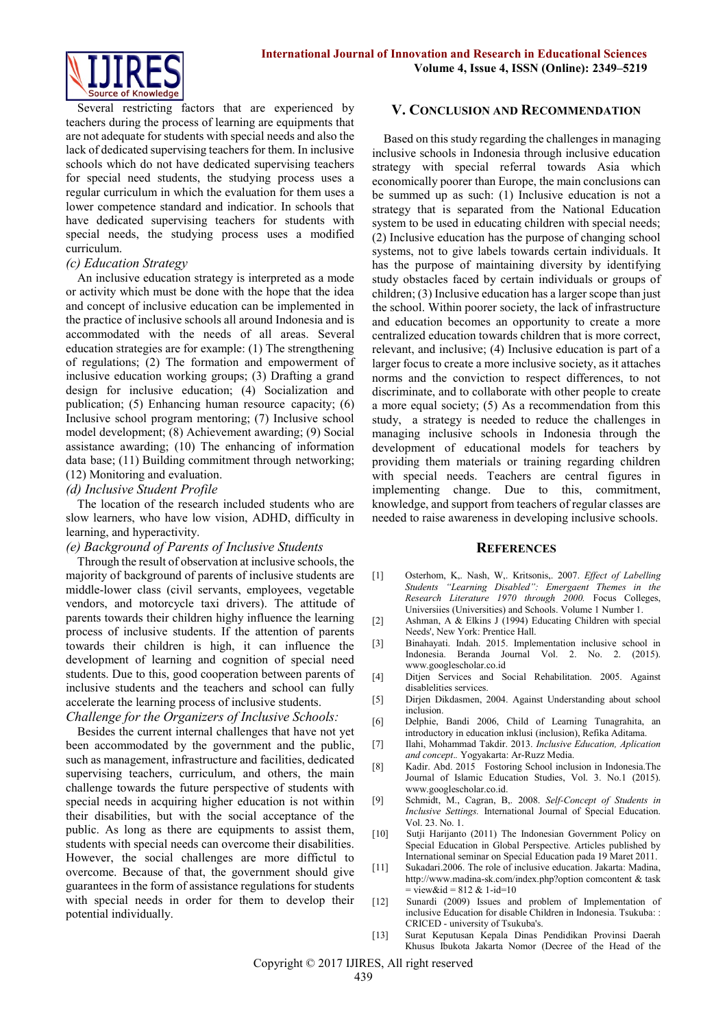

Several restricting factors that are experienced by teachers during the process of learning are equipments that are not adequate for students with special needs and also the lack of dedicated supervising teachers for them. In inclusive schools which do not have dedicated supervising teachers for special need students, the studying process uses a regular curriculum in which the evaluation for them uses a lower competence standard and indicatior. In schools that have dedicated supervising teachers for students with special needs, the studying process uses a modified curriculum.

## *(c) Education Strategy*

An inclusive education strategy is interpreted as a mode or activity which must be done with the hope that the idea and concept of inclusive education can be implemented in the practice of inclusive schools all around Indonesia and is accommodated with the needs of all areas. Several education strategies are for example: (1) The strengthening of regulations; (2) The formation and empowerment of inclusive education working groups; (3) Drafting a grand design for inclusive education; (4) Socialization and publication; (5) Enhancing human resource capacity; (6) Inclusive school program mentoring; (7) Inclusive school model development; (8) Achievement awarding; (9) Social assistance awarding; (10) The enhancing of information data base; (11) Building commitment through networking; (12) Monitoring and evaluation.

## *(d) Inclusive Student Profile*

The location of the research included students who are slow learners, who have low vision, ADHD, difficulty in learning, and hyperactivity.

## *(e) Background of Parents of Inclusive Students*

Through the result of observation at inclusive schools, the majority of background of parents of inclusive students are middle-lower class (civil servants, employees, vegetable vendors, and motorcycle taxi drivers). The attitude of parents towards their children highy influence the learning process of inclusive students. If the attention of parents towards their children is high, it can influence the development of learning and cognition of special need students. Due to this, good cooperation between parents of inclusive students and the teachers and school can fully accelerate the learning process of inclusive students.

## *Challenge for the Organizers of Inclusive Schools:*

Besides the current internal challenges that have not yet been accommodated by the government and the public, such as management, infrastructure and facilities, dedicated supervising teachers, curriculum, and others, the main challenge towards the future perspective of students with special needs in acquiring higher education is not within their disabilities, but with the social acceptance of the public. As long as there are equipments to assist them, students with special needs can overcome their disabilities. However, the social challenges are more diffictul to overcome. Because of that, the government should give guarantees in the form of assistance regulations for students with special needs in order for them to develop their potential individually.

## **V. CONCLUSION AND RECOMMENDATION**

Based on this study regarding the challenges in managing inclusive schools in Indonesia through inclusive education strategy with special referral towards Asia which economically poorer than Europe, the main conclusions can be summed up as such: (1) Inclusive education is not a strategy that is separated from the National Education system to be used in educating children with special needs: (2) Inclusive education has the purpose of changing school systems, not to give labels towards certain individuals. It has the purpose of maintaining diversity by identifying study obstacles faced by certain individuals or groups of children; (3) Inclusive education has a larger scope than just the school. Within poorer society, the lack of infrastructure and education becomes an opportunity to create a more centralized education towards children that is more correct, relevant, and inclusive; (4) Inclusive education is part of a larger focus to create a more inclusive society, as it attaches norms and the conviction to respect differences, to not discriminate, and to collaborate with other people to create a more equal society; (5) As a recommendation from this study, a strategy is needed to reduce the challenges in managing inclusive schools in Indonesia through the development of educational models for teachers by providing them materials or training regarding children with special needs. Teachers are central figures in implementing change. Due to this, commitment, knowledge, and support from teachers of regular classes are needed to raise awareness in developing inclusive schools.

#### **REFERENCES**

- [1] Osterhom, K,. Nash, W,. Kritsonis,. 2007. *Effect of Labelling Students "Learning Disabled": Emergaent Themes in the Research Literature 1970 through 2000.* Focus Colleges, Universiies (Universities) and Schools. Volume 1 Number 1.
- [2] Ashman, A  $\&$  Elkins J (1994) Educating Children with special Needs', New York: Prentice Hall.
- [3] Binahayati. Indah. 2015. Implementation inclusive school in Indonesia. Beranda Journal Vol. 2. No. 2. (2015). [www.googlescholar.co.id](http://www.googlescholar.co.id/)
- [4] Ditjen Services and Social Rehabilitation. 2005. Against disablelities services.
- [5] Dirjen Dikdasmen, 2004. Against Understanding about school inclusion.
- [6] Delphie, Bandi 2006, Child of Learning Tunagrahita, an introductory in education inklusi (inclusion), Refika Aditama.
- [7] Ilahi, Mohammad Takdir. 2013. *Inclusive Education, Aplication and concept*.*.* Yogyakarta: Ar-Ruzz Media.
- [8] Kadir. Abd. 2015 Fostoring School inclusion in Indonesia.The Journal of Islamic Education Studies, Vol. 3. No.1 (2015). [www.googlescholar.co.id.](http://www.googlescholar.co.id/)
- [9] Schmidt, M., Cagran, B,. 2008. *Self-Concept of Students in Inclusive Settings.* International Journal of Special Education. Vol. 23. No. 1.
- [10] Sutji Harijanto (2011) The Indonesian Government Policy on Special Education in Global Perspective. Articles published by International seminar on Special Education pada 19 Maret 2011.
- [11] Sukadari.2006. The role of inclusive education. Jakarta: Madina, [http://www.madina-sk.com/index.php?option comcontent & task](http://www.madina-sk.com/index.php?option%20comcontent%20&%20task%20=%20view&id%20=%20812%20&%201-id=10)   $=$  view&id = 812 & 1-id=10
- [12] Sunardi (2009) Issues and problem of Implementation of inclusive Education for disable Children in Indonesia. Tsukuba: : CRICED - university of Tsukuba's.
- [13] Surat Keputusan Kepala Dinas Pendidikan Provinsi Daerah Khusus Ibukota Jakarta Nomor (Decree of the Head of the

Copyright © 2017 IJIRES, All right reserved